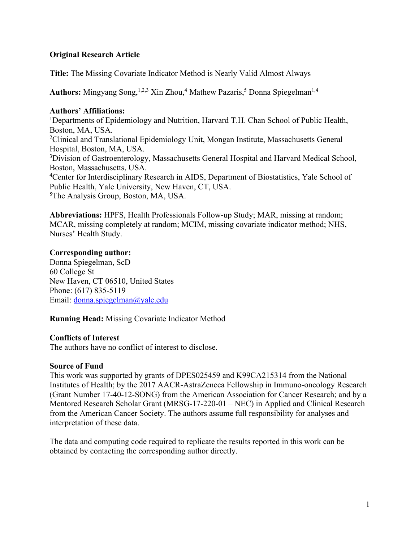## **Original Research Article**

**Title:** The Missing Covariate Indicator Method is Nearly Valid Almost Always

Authors: Mingyang Song,<sup>1,2,3</sup> Xin Zhou,<sup>4</sup> Mathew Pazaris,<sup>5</sup> Donna Spiegelman<sup>1,4</sup>

## **Authors' Affiliations:**

<sup>1</sup>Departments of Epidemiology and Nutrition, Harvard T.H. Chan School of Public Health, Boston, MA, USA. <sup>2</sup>Clinical and Translational Epidemiology Unit, Mongan Institute, Massachusetts General Hospital, Boston, MA, USA. <sup>3</sup>Division of Gastroenterology, Massachusetts General Hospital and Harvard Medical School, Boston, Massachusetts, USA. <sup>4</sup>Center for Interdisciplinary Research in AIDS, Department of Biostatistics, Yale School of Public Health, Yale University, New Haven, CT, USA. 5 The Analysis Group, Boston, MA, USA.

**Abbreviations:** HPFS, Health Professionals Follow-up Study; MAR, missing at random; MCAR, missing completely at random; MCIM, missing covariate indicator method; NHS, Nurses' Health Study.

## **Corresponding author:**

Donna Spiegelman, ScD 60 College St New Haven, CT 06510, United States Phone: (617) 835-5119 Email: donna.spiegelman@yale.edu

**Running Head:** Missing Covariate Indicator Method

# **Conflicts of Interest**

The authors have no conflict of interest to disclose.

## **Source of Fund**

This work was supported by grants of DPES025459 and K99CA215314 from the National Institutes of Health; by the 2017 AACR-AstraZeneca Fellowship in Immuno-oncology Research (Grant Number 17-40-12-SONG) from the American Association for Cancer Research; and by a Mentored Research Scholar Grant (MRSG-17-220-01 – NEC) in Applied and Clinical Research from the American Cancer Society. The authors assume full responsibility for analyses and interpretation of these data.

The data and computing code required to replicate the results reported in this work can be obtained by contacting the corresponding author directly.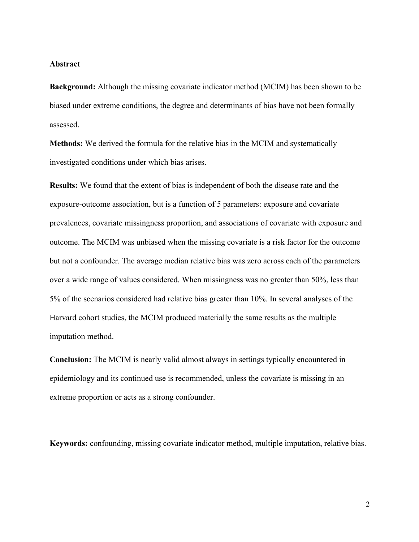## **Abstract**

**Background:** Although the missing covariate indicator method (MCIM) has been shown to be biased under extreme conditions, the degree and determinants of bias have not been formally assessed.

**Methods:** We derived the formula for the relative bias in the MCIM and systematically investigated conditions under which bias arises.

**Results:** We found that the extent of bias is independent of both the disease rate and the exposure-outcome association, but is a function of 5 parameters: exposure and covariate prevalences, covariate missingness proportion, and associations of covariate with exposure and outcome. The MCIM was unbiased when the missing covariate is a risk factor for the outcome but not a confounder. The average median relative bias was zero across each of the parameters over a wide range of values considered. When missingness was no greater than 50%, less than 5% of the scenarios considered had relative bias greater than 10%. In several analyses of the Harvard cohort studies, the MCIM produced materially the same results as the multiple imputation method.

**Conclusion:** The MCIM is nearly valid almost always in settings typically encountered in epidemiology and its continued use is recommended, unless the covariate is missing in an extreme proportion or acts as a strong confounder.

**Keywords:** confounding, missing covariate indicator method, multiple imputation, relative bias.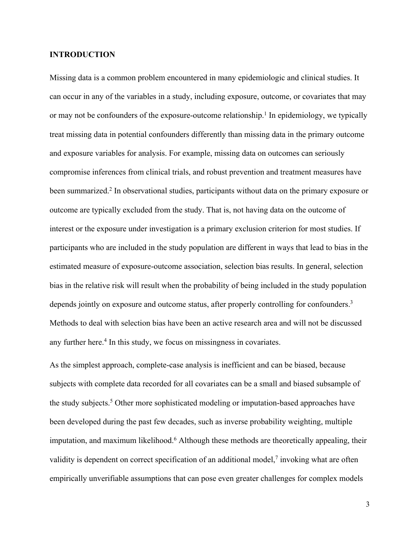### **INTRODUCTION**

Missing data is a common problem encountered in many epidemiologic and clinical studies. It can occur in any of the variables in a study, including exposure, outcome, or covariates that may or may not be confounders of the exposure-outcome relationship.<sup>1</sup> In epidemiology, we typically treat missing data in potential confounders differently than missing data in the primary outcome and exposure variables for analysis. For example, missing data on outcomes can seriously compromise inferences from clinical trials, and robust prevention and treatment measures have been summarized.<sup>2</sup> In observational studies, participants without data on the primary exposure or outcome are typically excluded from the study. That is, not having data on the outcome of interest or the exposure under investigation is a primary exclusion criterion for most studies. If participants who are included in the study population are different in ways that lead to bias in the estimated measure of exposure-outcome association, selection bias results. In general, selection bias in the relative risk will result when the probability of being included in the study population depends jointly on exposure and outcome status, after properly controlling for confounders.<sup>3</sup> Methods to deal with selection bias have been an active research area and will not be discussed any further here.<sup>4</sup> In this study, we focus on missingness in covariates.

As the simplest approach, complete-case analysis is inefficient and can be biased, because subjects with complete data recorded for all covariates can be a small and biased subsample of the study subjects. <sup>5</sup> Other more sophisticated modeling or imputation-based approaches have been developed during the past few decades, such as inverse probability weighting, multiple imputation, and maximum likelihood. <sup>6</sup> Although these methods are theoretically appealing, their validity is dependent on correct specification of an additional model,<sup>7</sup> invoking what are often empirically unverifiable assumptions that can pose even greater challenges for complex models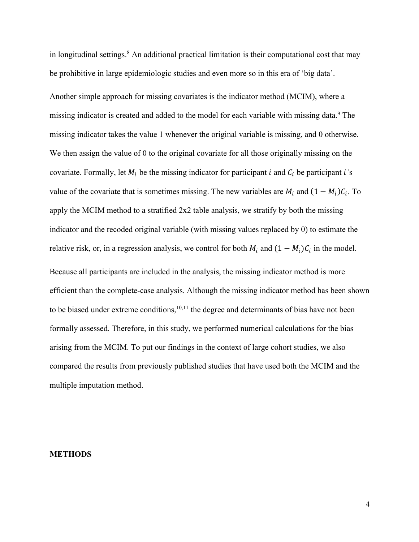in longitudinal settings. <sup>8</sup> An additional practical limitation is their computational cost that may be prohibitive in large epidemiologic studies and even more so in this era of 'big data'.

Another simple approach for missing covariates is the indicator method (MCIM), where a missing indicator is created and added to the model for each variable with missing data.<sup>9</sup> The missing indicator takes the value 1 whenever the original variable is missing, and 0 otherwise. We then assign the value of 0 to the original covariate for all those originally missing on the covariate. Formally, let  $M_i$  be the missing indicator for participant  $i$  and  $C_i$  be participant  $i$ 's value of the covariate that is sometimes missing. The new variables are  $M_i$  and  $(1 - M_i)C_i$ . To apply the MCIM method to a stratified 2x2 table analysis, we stratify by both the missing indicator and the recoded original variable (with missing values replaced by 0) to estimate the relative risk, or, in a regression analysis, we control for both  $M_i$  and  $(1 - M_i)C_i$  in the model.

Because all participants are included in the analysis, the missing indicator method is more efficient than the complete-case analysis. Although the missing indicator method has been shown to be biased under extreme conditions,  $10,11$  the degree and determinants of bias have not been formally assessed. Therefore, in this study, we performed numerical calculations for the bias arising from the MCIM. To put our findings in the context of large cohort studies, we also compared the results from previously published studies that have used both the MCIM and the multiple imputation method.

### **METHODS**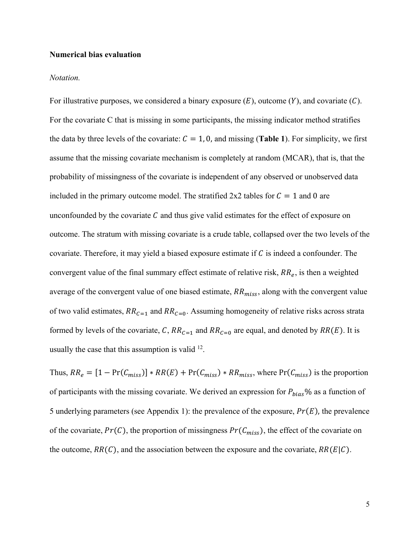### **Numerical bias evaluation**

### *Notation.*

For illustrative purposes, we considered a binary exposure  $(E)$ , outcome  $(Y)$ , and covariate  $(C)$ . For the covariate C that is missing in some participants, the missing indicator method stratifies the data by three levels of the covariate:  $C = 1, 0$ , and missing (**Table 1**). For simplicity, we first assume that the missing covariate mechanism is completely at random (MCAR), that is, that the probability of missingness of the covariate is independent of any observed or unobserved data included in the primary outcome model. The stratified  $2x2$  tables for  $C = 1$  and 0 are unconfounded by the covariate  $\mathcal C$  and thus give valid estimates for the effect of exposure on outcome. The stratum with missing covariate is a crude table, collapsed over the two levels of the covariate. Therefore, it may yield a biased exposure estimate if  $C$  is indeed a confounder. The convergent value of the final summary effect estimate of relative risk,  $RR_e$ , is then a weighted average of the convergent value of one biased estimate,  $RR_{miss}$ , along with the convergent value of two valid estimates,  $RR_{c=1}$  and  $RR_{c=0}$ . Assuming homogeneity of relative risks across strata formed by levels of the covariate, C,  $RR_{C=1}$  and  $RR_{C=0}$  are equal, and denoted by  $RR(E)$ . It is usually the case that this assumption is valid  $12$ .

Thus,  $RR_e = [1 - Pr(C_{miss})] * RR(E) + Pr(C_{miss}) * RR_{miss}$ , where  $Pr(C_{miss})$  is the proportion of participants with the missing covariate. We derived an expression for  $P_{bias}\%$  as a function of 5 underlying parameters (see Appendix 1): the prevalence of the exposure,  $Pr(E)$ , the prevalence of the covariate,  $Pr(C)$ , the proportion of missingness  $Pr(C_{miss})$ , the effect of the covariate on the outcome,  $RR(C)$ , and the association between the exposure and the covariate,  $RR(E|C)$ .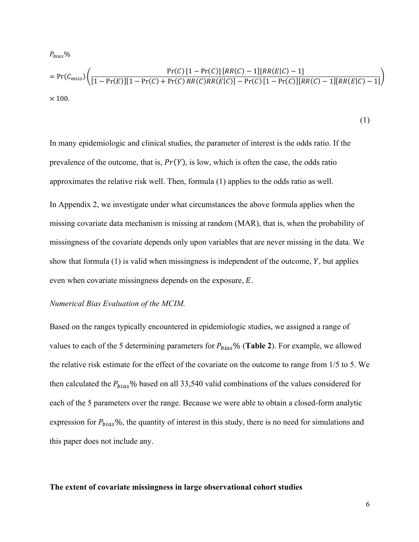$P_{bias}$ %

$$
= \Pr(C_{miss}) \left( \frac{\Pr(C) \left[ 1 - \Pr(C) \right] \left[ RR(C) - 1 \right] \left[ RR(E|C) - 1 \right]}{\left[ 1 - \Pr(E) \right] \left[ 1 - \Pr(C) + \Pr(C) \left[ RR(C) \right] \left[ RR(E|C) \right] - \Pr(C) \left[ 1 - \Pr(C) \right] \left[ RR(C) - 1 \right] \left[ RR(E|C) - 1 \right]} \right) \right)
$$
  
× 100.  

(1)

In many epidemiologic and clinical studies, the parameter of interest is the odds ratio. If the prevalence of the outcome, that is,  $Pr(Y)$ , is low, which is often the case, the odds ratio approximates the relative risk well. Then, formula (1) applies to the odds ratio as well. In Appendix 2, we investigate under what circumstances the above formula applies when the missing covariate data mechanism is missing at random (MAR), that is, when the probability of missingness of the covariate depends only upon variables that are never missing in the data. We show that formula  $(1)$  is valid when missingness is independent of the outcome,  $Y$ , but applies

even when covariate missingness depends on the exposure,  $E$ .

#### *Numerical Bias Evaluation of the MCIM.*

Based on the ranges typically encountered in epidemiologic studies, we assigned a range of values to each of the 5 determining parameters for  $P_{bias}$ % (**Table 2**). For example, we allowed the relative risk estimate for the effect of the covariate on the outcome to range from 1/5 to 5. We then calculated the  $P_{bias}$ % based on all 33,540 valid combinations of the values considered for each of the 5 parameters over the range. Because we were able to obtain a closed-form analytic expression for  $P_{bias}\%$ , the quantity of interest in this study, there is no need for simulations and this paper does not include any.

### **The extent of covariate missingness in large observational cohort studies**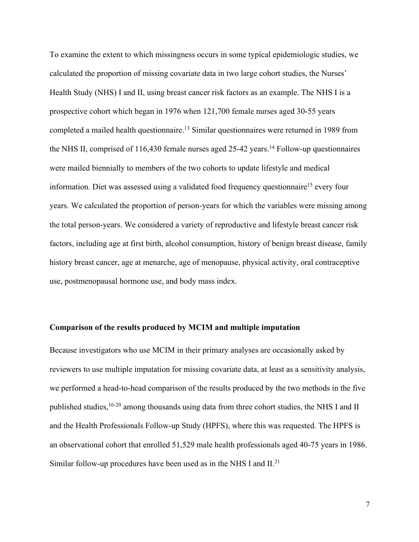To examine the extent to which missingness occurs in some typical epidemiologic studies, we calculated the proportion of missing covariate data in two large cohort studies, the Nurses' Health Study (NHS) I and II, using breast cancer risk factors as an example. The NHS I is a prospective cohort which began in 1976 when 121,700 female nurses aged 30-55 years completed a mailed health questionnaire.13 Similar questionnaires were returned in 1989 from the NHS II, comprised of 116,430 female nurses aged 25-42 years. <sup>14</sup> Follow-up questionnaires were mailed biennially to members of the two cohorts to update lifestyle and medical information. Diet was assessed using a validated food frequency questionnaire<sup>15</sup> every four years. We calculated the proportion of person-years for which the variables were missing among the total person-years. We considered a variety of reproductive and lifestyle breast cancer risk factors, including age at first birth, alcohol consumption, history of benign breast disease, family history breast cancer, age at menarche, age of menopause, physical activity, oral contraceptive use, postmenopausal hormone use, and body mass index.

## **Comparison of the results produced by MCIM and multiple imputation**

Because investigators who use MCIM in their primary analyses are occasionally asked by reviewers to use multiple imputation for missing covariate data, at least as a sensitivity analysis, we performed a head-to-head comparison of the results produced by the two methods in the five published studies, <sup>16-20</sup> among thousands using data from three cohort studies, the NHS I and II and the Health Professionals Follow-up Study (HPFS), where this was requested. The HPFS is an observational cohort that enrolled 51,529 male health professionals aged 40-75 years in 1986. Similar follow-up procedures have been used as in the NHS I and  $II^{21}$ .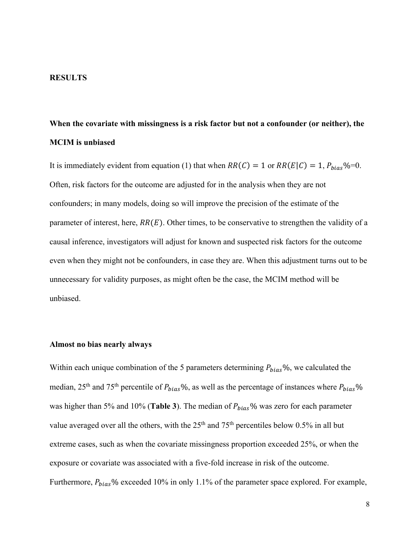### **RESULTS**

# **When the covariate with missingness is a risk factor but not a confounder (or neither), the MCIM is unbiased**

It is immediately evident from equation (1) that when  $RR(C) = 1$  or  $RR(E|C) = 1, P_{bias}$ %=0. Often, risk factors for the outcome are adjusted for in the analysis when they are not confounders; in many models, doing so will improve the precision of the estimate of the parameter of interest, here,  $RR(E)$ . Other times, to be conservative to strengthen the validity of a causal inference, investigators will adjust for known and suspected risk factors for the outcome even when they might not be confounders, in case they are. When this adjustment turns out to be unnecessary for validity purposes, as might often be the case, the MCIM method will be unbiased.

### **Almost no bias nearly always**

Within each unique combination of the 5 parameters determining  $P_{bias}\%$ , we calculated the median,  $25<sup>th</sup>$  and  $75<sup>th</sup>$  percentile of  $P_{bias}\%$ , as well as the percentage of instances where  $P_{bias}\%$ was higher than 5% and 10% (**Table 3**). The median of  $P_{bias}$ % was zero for each parameter value averaged over all the others, with the  $25<sup>th</sup>$  and  $75<sup>th</sup>$  percentiles below 0.5% in all but extreme cases, such as when the covariate missingness proportion exceeded 25%, or when the exposure or covariate was associated with a five-fold increase in risk of the outcome. Furthermore,  $P_{bias}$ % exceeded 10% in only 1.1% of the parameter space explored. For example,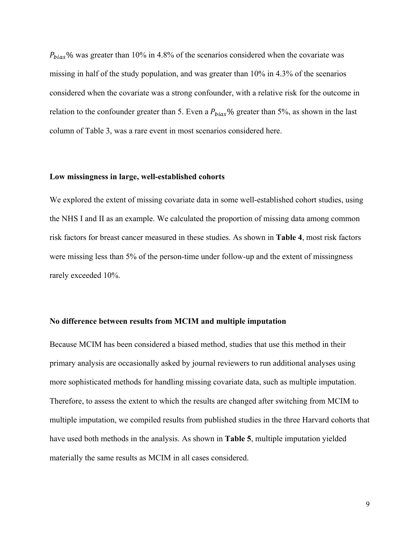$P_{bias}$ % was greater than 10% in 4.8% of the scenarios considered when the covariate was missing in half of the study population, and was greater than 10% in 4.3% of the scenarios considered when the covariate was a strong confounder, with a relative risk for the outcome in relation to the confounder greater than 5. Even a  $P_{bias}$ % greater than 5%, as shown in the last column of Table 3, was a rare event in most scenarios considered here.

## **Low missingness in large, well-established cohorts**

We explored the extent of missing covariate data in some well-established cohort studies, using the NHS I and II as an example. We calculated the proportion of missing data among common risk factors for breast cancer measured in these studies. As shown in **Table 4**, most risk factors were missing less than 5% of the person-time under follow-up and the extent of missingness rarely exceeded 10%.

## **No difference between results from MCIM and multiple imputation**

Because MCIM has been considered a biased method, studies that use this method in their primary analysis are occasionally asked by journal reviewers to run additional analyses using more sophisticated methods for handling missing covariate data, such as multiple imputation. Therefore, to assess the extent to which the results are changed after switching from MCIM to multiple imputation, we compiled results from published studies in the three Harvard cohorts that have used both methods in the analysis. As shown in **Table 5**, multiple imputation yielded materially the same results as MCIM in all cases considered.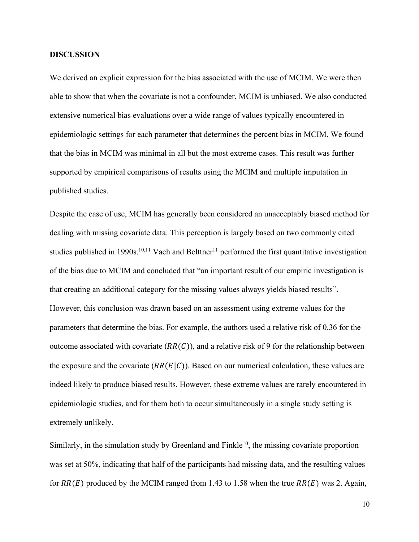### **DISCUSSION**

We derived an explicit expression for the bias associated with the use of MCIM. We were then able to show that when the covariate is not a confounder, MCIM is unbiased. We also conducted extensive numerical bias evaluations over a wide range of values typically encountered in epidemiologic settings for each parameter that determines the percent bias in MCIM. We found that the bias in MCIM was minimal in all but the most extreme cases. This result was further supported by empirical comparisons of results using the MCIM and multiple imputation in published studies.

Despite the ease of use, MCIM has generally been considered an unacceptably biased method for dealing with missing covariate data. This perception is largely based on two commonly cited studies published in 1990s.<sup>10,11</sup> Vach and Belttner<sup>11</sup> performed the first quantitative investigation of the bias due to MCIM and concluded that "an important result of our empiric investigation is that creating an additional category for the missing values always yields biased results". However, this conclusion was drawn based on an assessment using extreme values for the parameters that determine the bias. For example, the authors used a relative risk of 0.36 for the outcome associated with covariate  $(RR(C))$ , and a relative risk of 9 for the relationship between the exposure and the covariate  $(RR(E|C))$ . Based on our numerical calculation, these values are indeed likely to produce biased results. However, these extreme values are rarely encountered in epidemiologic studies, and for them both to occur simultaneously in a single study setting is extremely unlikely.

Similarly, in the simulation study by Greenland and  $Finkle<sup>10</sup>$ , the missing covariate proportion was set at 50%, indicating that half of the participants had missing data, and the resulting values for  $RR(E)$  produced by the MCIM ranged from 1.43 to 1.58 when the true  $RR(E)$  was 2. Again,

10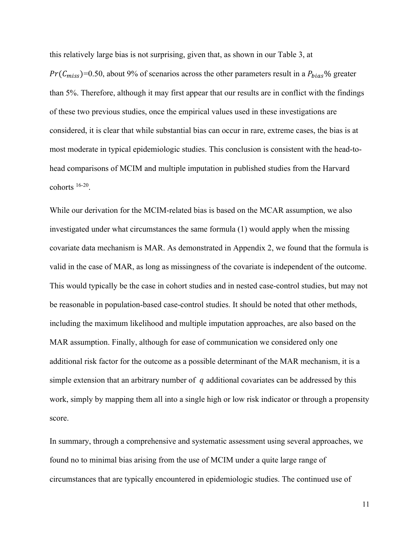this relatively large bias is not surprising, given that, as shown in our Table 3, at

 $Pr(C_{miss})$ =0.50, about 9% of scenarios across the other parameters result in a  $P_{bias}$ % greater than 5%. Therefore, although it may first appear that our results are in conflict with the findings of these two previous studies, once the empirical values used in these investigations are considered, it is clear that while substantial bias can occur in rare, extreme cases, the bias is at most moderate in typical epidemiologic studies. This conclusion is consistent with the head-tohead comparisons of MCIM and multiple imputation in published studies from the Harvard cohorts 16-20.

While our derivation for the MCIM-related bias is based on the MCAR assumption, we also investigated under what circumstances the same formula (1) would apply when the missing covariate data mechanism is MAR. As demonstrated in Appendix 2, we found that the formula is valid in the case of MAR, as long as missingness of the covariate is independent of the outcome. This would typically be the case in cohort studies and in nested case-control studies, but may not be reasonable in population-based case-control studies. It should be noted that other methods, including the maximum likelihood and multiple imputation approaches, are also based on the MAR assumption. Finally, although for ease of communication we considered only one additional risk factor for the outcome as a possible determinant of the MAR mechanism, it is a simple extension that an arbitrary number of  $q$  additional covariates can be addressed by this work, simply by mapping them all into a single high or low risk indicator or through a propensity score.

In summary, through a comprehensive and systematic assessment using several approaches, we found no to minimal bias arising from the use of MCIM under a quite large range of circumstances that are typically encountered in epidemiologic studies. The continued use of

11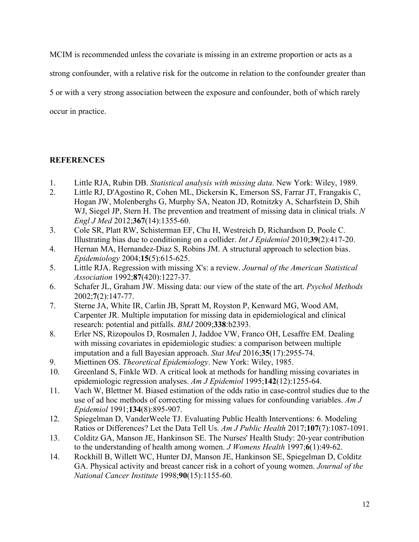MCIM is recommended unless the covariate is missing in an extreme proportion or acts as a

strong confounder, with a relative risk for the outcome in relation to the confounder greater than

5 or with a very strong association between the exposure and confounder, both of which rarely

occur in practice.

# **REFERENCES**

- 1. Little RJA, Rubin DB. *Statistical analysis with missing data*. New York: Wiley, 1989.
- 2. Little RJ, D'Agostino R, Cohen ML, Dickersin K, Emerson SS, Farrar JT, Frangakis C, Hogan JW, Molenberghs G, Murphy SA, Neaton JD, Rotnitzky A, Scharfstein D, Shih WJ, Siegel JP, Stern H. The prevention and treatment of missing data in clinical trials. *N Engl J Med* 2012;**367**(14):1355-60.
- 3. Cole SR, Platt RW, Schisterman EF, Chu H, Westreich D, Richardson D, Poole C. Illustrating bias due to conditioning on a collider. *Int J Epidemiol* 2010;**39**(2):417-20.
- 4. Hernan MA, Hernandez-Diaz S, Robins JM. A structural approach to selection bias. *Epidemiology* 2004;**15**(5):615-625.
- 5. Little RJA. Regression with missing X's: a review. *Journal of the American Statistical Association* 1992;**87**(420):1227-37.
- 6. Schafer JL, Graham JW. Missing data: our view of the state of the art. *Psychol Methods*  2002;**7**(2):147-77.
- 7. Sterne JA, White IR, Carlin JB, Spratt M, Royston P, Kenward MG, Wood AM, Carpenter JR. Multiple imputation for missing data in epidemiological and clinical research: potential and pitfalls. *BMJ* 2009;**338**:b2393.
- 8. Erler NS, Rizopoulos D, Rosmalen J, Jaddoe VW, Franco OH, Lesaffre EM. Dealing with missing covariates in epidemiologic studies: a comparison between multiple imputation and a full Bayesian approach. *Stat Med* 2016;**35**(17):2955-74.
- 9. Miettinen OS. *Theoretical Epidemiology*. New York: Wiley, 1985.
- 10. Greenland S, Finkle WD. A critical look at methods for handling missing covariates in epidemiologic regression analyses. *Am J Epidemiol* 1995;**142**(12):1255-64.
- 11. Vach W, Blettner M. Biased estimation of the odds ratio in case-control studies due to the use of ad hoc methods of correcting for missing values for confounding variables. *Am J Epidemiol* 1991;**134**(8):895-907.
- 12. Spiegelman D, VanderWeele TJ. Evaluating Public Health Interventions: 6. Modeling Ratios or Differences? Let the Data Tell Us. *Am J Public Health* 2017;**107**(7):1087-1091.
- 13. Colditz GA, Manson JE, Hankinson SE. The Nurses' Health Study: 20-year contribution to the understanding of health among women. *J Womens Health* 1997;**6**(1):49-62.
- 14. Rockhill B, Willett WC, Hunter DJ, Manson JE, Hankinson SE, Spiegelman D, Colditz GA. Physical activity and breast cancer risk in a cohort of young women. *Journal of the National Cancer Institute* 1998;**90**(15):1155-60.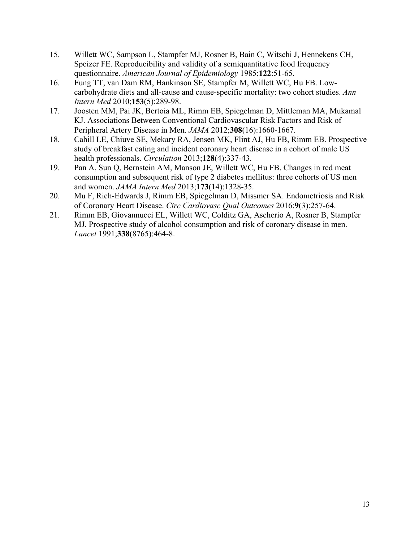- 15. Willett WC, Sampson L, Stampfer MJ, Rosner B, Bain C, Witschi J, Hennekens CH, Speizer FE. Reproducibility and validity of a semiquantitative food frequency questionnaire. *American Journal of Epidemiology* 1985;**122**:51-65.
- 16. Fung TT, van Dam RM, Hankinson SE, Stampfer M, Willett WC, Hu FB. Lowcarbohydrate diets and all-cause and cause-specific mortality: two cohort studies. *Ann Intern Med* 2010;**153**(5):289-98.
- 17. Joosten MM, Pai JK, Bertoia ML, Rimm EB, Spiegelman D, Mittleman MA, Mukamal KJ. Associations Between Conventional Cardiovascular Risk Factors and Risk of Peripheral Artery Disease in Men. *JAMA* 2012;**308**(16):1660-1667.
- 18. Cahill LE, Chiuve SE, Mekary RA, Jensen MK, Flint AJ, Hu FB, Rimm EB. Prospective study of breakfast eating and incident coronary heart disease in a cohort of male US health professionals. *Circulation* 2013;**128**(4):337-43.
- 19. Pan A, Sun Q, Bernstein AM, Manson JE, Willett WC, Hu FB. Changes in red meat consumption and subsequent risk of type 2 diabetes mellitus: three cohorts of US men and women. *JAMA Intern Med* 2013;**173**(14):1328-35.
- 20. Mu F, Rich-Edwards J, Rimm EB, Spiegelman D, Missmer SA. Endometriosis and Risk of Coronary Heart Disease. *Circ Cardiovasc Qual Outcomes* 2016;**9**(3):257-64.
- 21. Rimm EB, Giovannucci EL, Willett WC, Colditz GA, Ascherio A, Rosner B, Stampfer MJ. Prospective study of alcohol consumption and risk of coronary disease in men. *Lancet* 1991;**338**(8765):464-8.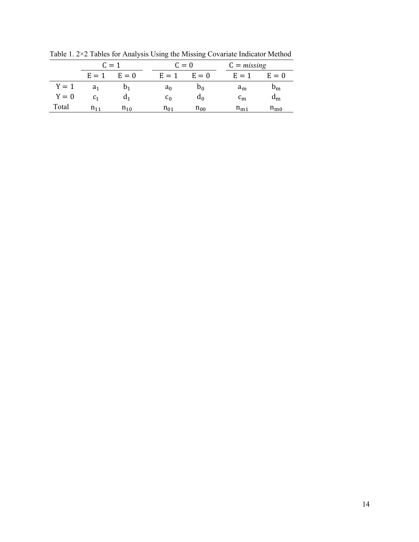|         | $C = 1$        |                 | $C=0$ |                | $C = missing$   |  |             |                |
|---------|----------------|-----------------|-------|----------------|-----------------|--|-------------|----------------|
|         |                | $E = 1$ $E = 0$ |       |                | $E = 1$ $E = 0$ |  | $E = 1$     | $E=0$          |
| $Y = 1$ | a <sub>1</sub> | $D_1$           |       | $a_0$          | $D_{0}$         |  | $a_{m}$     | $n_{\rm m}$    |
| $Y = 0$ | C <sub>1</sub> | a <sub>1</sub>  |       | c <sub>0</sub> | $a_0$           |  | $c_{\rm m}$ | a <sub>m</sub> |
| Total   | $n_{11}$       | $n_{10}$        |       | $n_{01}$       | $n_{00}$        |  | $n_{m1}$    | $n_{\rm m0}$   |

Table 1. 2×2 Tables for Analysis Using the Missing Covariate Indicator Method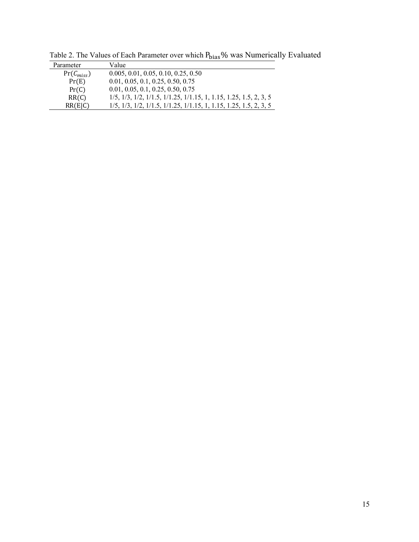| Parameter      | Value                                                                                                   |
|----------------|---------------------------------------------------------------------------------------------------------|
| $Pr(C_{miss})$ | 0.005, 0.01, 0.05, 0.10, 0.25, 0.50                                                                     |
| Pr(E)          | 0.01, 0.05, 0.1, 0.25, 0.50, 0.75                                                                       |
| Pr(C)          | 0.01, 0.05, 0.1, 0.25, 0.50, 0.75                                                                       |
| RR(C)          | $1/5$ , $1/3$ , $1/2$ , $1/1.5$ , $1/1.25$ , $1/1.15$ , $1$ , $1.15$ , $1.25$ , $1.5$ , $2$ , $3$ , $5$ |
| RR(E C)        | $1/5$ , $1/3$ , $1/2$ , $1/1.5$ , $1/1.25$ , $1/1.15$ , $1$ , $1.15$ , $1.25$ , $1.5$ , $2$ , $3$ , $5$ |

Table 2. The Values of Each Parameter over which P<sub>bias</sub>% was Numerically Evaluated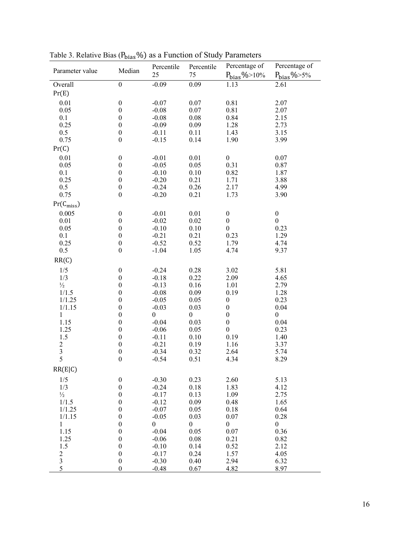|                                   |                  | Percentile       | Percentile       | Percentage of     | Percentage of      |
|-----------------------------------|------------------|------------------|------------------|-------------------|--------------------|
| Parameter value                   | Median           | 25               | 75               | $P_{bias}\%>10\%$ | $P_{bias}\% > 5\%$ |
| Overall                           | $\boldsymbol{0}$ | $-0.09$          | 0.09             | 1.13              | 2.61               |
| Pr(E)                             |                  |                  |                  |                   |                    |
| 0.01                              | $\boldsymbol{0}$ | $-0.07$          | 0.07             | 0.81              | 2.07               |
| 0.05                              | $\boldsymbol{0}$ | $-0.08$          | 0.07             | 0.81              | 2.07               |
| 0.1                               | $\boldsymbol{0}$ | $-0.08$          | 0.08             | 0.84              | 2.15               |
| 0.25                              | $\boldsymbol{0}$ | $-0.09$          | 0.09             | 1.28              | 2.73               |
| 0.5                               | $\boldsymbol{0}$ | $-0.11$          | 0.11             | 1.43              | 3.15               |
| 0.75                              | $\boldsymbol{0}$ | $-0.15$          | 0.14             | 1.90              | 3.99               |
| Pr(C)                             |                  |                  |                  |                   |                    |
| 0.01                              | $\boldsymbol{0}$ | $-0.01$          | 0.01             | $\boldsymbol{0}$  | 0.07               |
| 0.05                              | $\boldsymbol{0}$ | $-0.05$          | 0.05             | 0.31              | 0.87               |
| 0.1                               | $\boldsymbol{0}$ | $-0.10$          | 0.10             | 0.82              | 1.87               |
| 0.25                              | $\boldsymbol{0}$ | $-0.20$          | 0.21             | 1.71              | 3.88               |
| 0.5                               | $\boldsymbol{0}$ | $-0.24$          | 0.26             | 2.17              | 4.99               |
| 0.75                              | $\boldsymbol{0}$ | $-0.20$          | 0.21             | 1.73              | 3.90               |
| $\Pr(\mathsf{C}_{\mathrm{miss}})$ |                  |                  |                  |                   |                    |
| 0.005                             | $\boldsymbol{0}$ | $-0.01$          | 0.01             | $\boldsymbol{0}$  | $\boldsymbol{0}$   |
| 0.01                              | $\boldsymbol{0}$ | $-0.02$          | 0.02             | $\boldsymbol{0}$  | $\boldsymbol{0}$   |
| 0.05                              | $\boldsymbol{0}$ | $-0.10$          | 0.10             | $\boldsymbol{0}$  | 0.23               |
| 0.1                               | $\boldsymbol{0}$ | $-0.21$          | 0.21             | 0.23              | 1.29               |
| 0.25                              | $\boldsymbol{0}$ | $-0.52$          | 0.52             | 1.79              | 4.74               |
| 0.5                               | $\boldsymbol{0}$ | $-1.04$          | 1.05             | 4.74              | 9.37               |
| RR(C)                             |                  |                  |                  |                   |                    |
| 1/5                               | $\boldsymbol{0}$ | $-0.24$          | 0.28             | 3.02              | 5.81               |
| 1/3                               | $\boldsymbol{0}$ | $-0.18$          | 0.22             | 2.09              | 4.65               |
| $\frac{1}{2}$                     | $\boldsymbol{0}$ | $-0.13$          | 0.16             | 1.01              | 2.79               |
| 1/1.5                             | $\boldsymbol{0}$ | $-0.08$          | 0.09             | 0.19              | 1.28               |
| 1/1.25                            | $\boldsymbol{0}$ | $-0.05$          | 0.05             | $\boldsymbol{0}$  | 0.23               |
| 1/1.15                            | $\boldsymbol{0}$ | $-0.03$          | 0.03             | $\boldsymbol{0}$  | 0.04               |
| 1                                 | $\boldsymbol{0}$ | $\boldsymbol{0}$ | $\boldsymbol{0}$ | $\boldsymbol{0}$  | $\boldsymbol{0}$   |
| 1.15                              | $\boldsymbol{0}$ | $-0.04$          | 0.03             | $\boldsymbol{0}$  | 0.04               |
| 1.25                              | $\boldsymbol{0}$ | $-0.06$          | 0.05             | $\boldsymbol{0}$  | 0.23               |
| 1.5                               | $\boldsymbol{0}$ | $-0.11$          | 0.10             | 0.19              | 1.40               |
| $\boldsymbol{2}$                  | $\boldsymbol{0}$ | $-0.21$          | 0.19             | 1.16              | 3.37               |
|                                   | $\boldsymbol{0}$ | $-0.34$          | 0.32             | 2.64              | 5.74               |
| $\frac{3}{5}$                     | $\boldsymbol{0}$ | $-0.54$          | 0.51             | 4.34              | 8.29               |
| RR(E C)                           |                  |                  |                  |                   |                    |
|                                   |                  |                  |                  |                   |                    |
| 1/5                               | $\boldsymbol{0}$ | $-0.30$          | 0.23             | 2.60              | 5.13               |
| 1/3                               | $\boldsymbol{0}$ | $-0.24$          | 0.18             | 1.83              | 4.12               |
| $\frac{1}{2}$                     | $\boldsymbol{0}$ | $-0.17$          | 0.13             | 1.09              | 2.75               |
| 1/1.5                             | $\boldsymbol{0}$ | $-0.12$          | 0.09             | 0.48              | 1.65               |
| 1/1.25                            | $\boldsymbol{0}$ | $-0.07$          | 0.05             | 0.18              | 0.64               |
| 1/1.15                            | $\boldsymbol{0}$ | $-0.05$          | 0.03             | 0.07              | 0.28               |
| 1                                 | $\boldsymbol{0}$ | $\boldsymbol{0}$ | $\boldsymbol{0}$ | $\boldsymbol{0}$  | $\boldsymbol{0}$   |
| 1.15                              | $\boldsymbol{0}$ | $-0.04$          | 0.05             | 0.07              | 0.36               |
| 1.25                              | $\boldsymbol{0}$ | $-0.06$          | 0.08             | 0.21              | 0.82               |
| 1.5                               | $\boldsymbol{0}$ | $-0.10$          | 0.14             | 0.52              | 2.12               |
| 2                                 | $\boldsymbol{0}$ | $-0.17$          | 0.24             | 1.57              | 4.05               |
| 3                                 | $\boldsymbol{0}$ | $-0.30$          | 0.40             | 2.94              | 6.32               |
| 5                                 | $\overline{0}$   | $-0.48$          | 0.67             | 4.82              | 8.97               |

Table 3. Relative Bias ( $P_{bias}$ %) as a Function of Study Parameters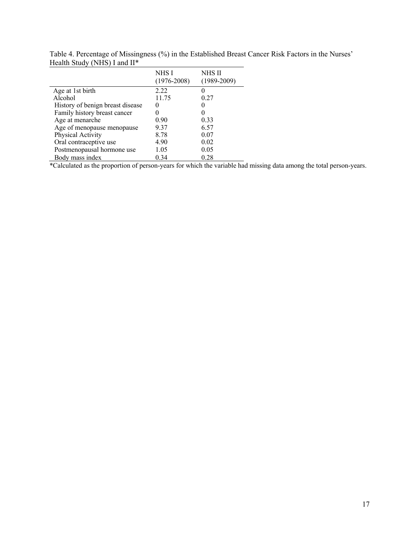|                                  | NHS I<br>$(1976 - 2008)$ | NHS II<br>$(1989 - 2009)$ |
|----------------------------------|--------------------------|---------------------------|
| Age at 1st birth                 | 2.22                     |                           |
| Alcohol                          | 11.75                    | 0.27                      |
| History of benign breast disease |                          |                           |
| Family history breast cancer     |                          |                           |
| Age at menarche                  | 0.90                     | 0.33                      |
| Age of menopause menopause       | 9.37                     | 6.57                      |
| Physical Activity                | 8.78                     | 0.07                      |
| Oral contraceptive use           | 4.90                     | 0.02                      |
| Postmenopausal hormone use       | 1.05                     | 0.05                      |
| Body mass index                  | 0.34                     | 0.28                      |

Table 4. Percentage of Missingness (%) in the Established Breast Cancer Risk Factors in the Nurses' Health Study (NHS) I and  $II^*$  $\overline{\phantom{0}}$ 

\*Calculated as the proportion of person-years for which the variable had missing data among the total person-years.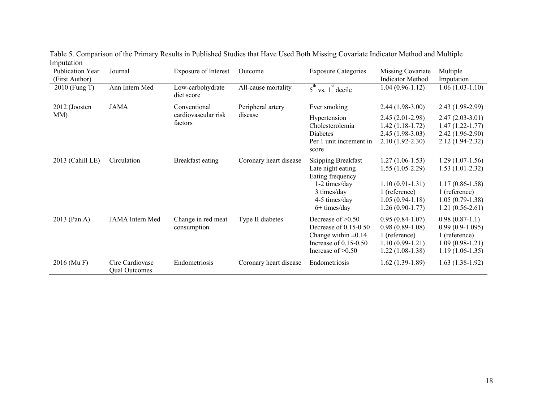| ւութսատտո<br><b>Publication Year</b><br>(First Author) | Journal                                 | <b>Exposure of Interest</b>                    | Outcome                      | <b>Exposure Categories</b>                                                                                                     | Missing Covariate<br>Indicator Method                                                                                    | Multiple<br>Imputation                                                                                                   |
|--------------------------------------------------------|-----------------------------------------|------------------------------------------------|------------------------------|--------------------------------------------------------------------------------------------------------------------------------|--------------------------------------------------------------------------------------------------------------------------|--------------------------------------------------------------------------------------------------------------------------|
| 2010 (Fung T)                                          | Ann Intern Med                          | Low-carbohydrate<br>diet score                 | All-cause mortality          | $5^{\text{th}}$ vs. 1 <sup>st</sup> decile                                                                                     | $1.04(0.96-1.12)$                                                                                                        | $1.06(1.03-1.10)$                                                                                                        |
| 2012 (Joosten                                          | <b>JAMA</b>                             | Conventional<br>cardiovascular risk<br>factors | Peripheral artery<br>disease | Ever smoking                                                                                                                   | $2.44(1.98-3.00)$                                                                                                        | $2.43(1.98-2.99)$                                                                                                        |
| MM)                                                    |                                         |                                                |                              | Hypertension<br>Cholesterolemia<br><b>Diabetes</b><br>Per 1 unit increment in<br>score                                         | $2.45(2.01-2.98)$<br>$1.42(1.18-1.72)$<br>$2.45(1.98-3.03)$<br>$2.10(1.92 - 2.30)$                                       | $2.47(2.03-3.01)$<br>$1.47(1.22 - 1.77)$<br>$2.42(1.96-2.90)$<br>$2.12(1.94-2.32)$                                       |
| 2013 (Cahill LE)                                       | Circulation                             | Breakfast eating                               | Coronary heart disease       | Skipping Breakfast<br>Late night eating<br>Eating frequency<br>1-2 times/day<br>3 times/day<br>4-5 times/day<br>$6+$ times/day | $1.27(1.06-1.53)$<br>$1.55(1.05-2.29)$<br>$1.10(0.91 - 1.31)$<br>1 (reference)<br>$1.05(0.94-1.18)$<br>$1.26(0.90-1.77)$ | $1.29(1.07-1.56)$<br>$1.53(1.01-2.32)$<br>$1.17(0.86 - 1.58)$<br>1 (reference)<br>$1.05(0.79-1.38)$<br>$1.21(0.56-2.61)$ |
| 2013 (Pan A)                                           | JAMA Intern Med                         | Change in red meat<br>consumption              | Type II diabetes             | Decrease of $>0.50$<br>Decrease of $0.15-0.50$<br>Change within $\pm 0.14$<br>Increase of $0.15-0.50$<br>Increase of $>0.50$   | $0.95(0.84-1.07)$<br>$0.98(0.89-1.08)$<br>1 (reference)<br>$1.10(0.99-1.21)$<br>$1.22(1.08-1.38)$                        | $0.98(0.87-1.1)$<br>$0.99(0.9-1.095)$<br>1 (reference)<br>$1.09(0.98-1.21)$<br>$1.19(1.06-1.35)$                         |
| 2016 (Mu F)                                            | Circ Cardiovasc<br><b>Qual Outcomes</b> | Endometriosis                                  | Coronary heart disease       | Endometriosis                                                                                                                  | $1.62(1.39-1.89)$                                                                                                        | $1.63(1.38-1.92)$                                                                                                        |

Table 5. Comparison of the Primary Results in Published Studies that Have Used Both Missing Covariate Indicator Method and Multiple Imputation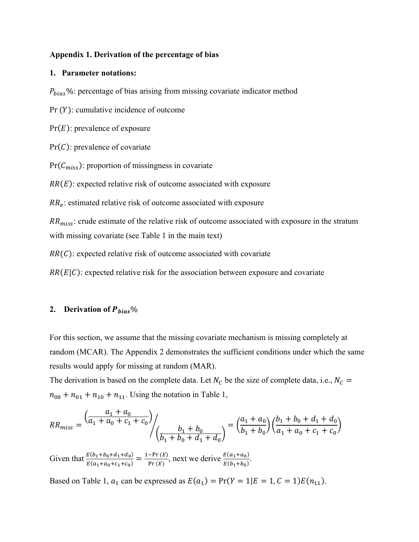### **Appendix 1. Derivation of the percentage of bias**

### **1. Parameter notations:**

 $P_{bias}$ %: percentage of bias arising from missing covariate indicator method

 $Pr(Y)$ : cumulative incidence of outcome

 $Pr(E)$ : prevalence of exposure

 $Pr(C)$ : prevalence of covariate

 $Pr(C_{miss})$ : proportion of missingness in covariate

 $RR(E)$ : expected relative risk of outcome associated with exposure

 $RR_e$ : estimated relative risk of outcome associated with exposure

 $RR_{miss}$ : crude estimate of the relative risk of outcome associated with exposure in the stratum with missing covariate (see Table 1 in the main text)

 $RR(C)$ : expected relative risk of outcome associated with covariate

 $RR(E|C)$ : expected relative risk for the association between exposure and covariate

## 2. **Derivation of**  $P_{bias}\%$

For this section, we assume that the missing covariate mechanism is missing completely at random (MCAR). The Appendix 2 demonstrates the sufficient conditions under which the same results would apply for missing at random (MAR).

The derivation is based on the complete data. Let  $N_c$  be the size of complete data, i.e.,  $N_c =$  $n_{00} + n_{01} + n_{10} + n_{11}$ . Using the notation in Table 1,

$$
RR_{miss} = \frac{\left(\frac{a_1 + a_0}{a_1 + a_0 + c_1 + c_0}\right)}{\left(\frac{b_1 + b_0}{b_1 + b_0 + d_1 + d_0}\right)} = \frac{a_1 + a_0}{b_1 + b_0} \left(\frac{b_1 + b_0 + d_1 + d_0}{a_1 + a_0 + c_1 + c_0}\right)
$$

Given that  $\frac{E(b_1+b_0+d_1+d_0)}{E(a_1+a_0+c_1+c_0)} = \frac{1-\Pr(E)}{\Pr(E)}$ , next we derive  $\frac{E(a_1+a_0)}{E(b_1+b_0)}$ .

Based on Table 1,  $a_1$  can be expressed as  $E(a_1) = Pr(Y = 1|E = 1, C = 1)E(n_{11}).$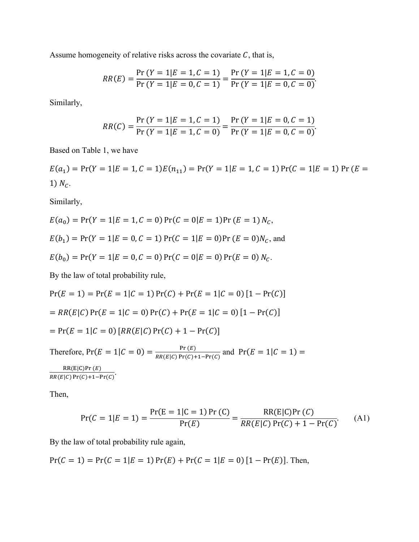Assume homogeneity of relative risks across the covariate  $C$ , that is,

$$
RR(E) = \frac{\Pr(Y = 1 | E = 1, C = 1)}{\Pr(Y = 1 | E = 0, C = 1)} = \frac{\Pr(Y = 1 | E = 1, C = 0)}{\Pr(Y = 1 | E = 0, C = 0)}.
$$

Similarly,

$$
RR(C) = \frac{\Pr(Y = 1 | E = 1, C = 1)}{\Pr(Y = 1 | E = 1, C = 0)} = \frac{\Pr(Y = 1 | E = 0, C = 1)}{\Pr(Y = 1 | E = 0, C = 0)}.
$$

Based on Table 1, we have

 $E(a_1) = Pr(Y = 1|E = 1, C = 1)E(n_{11}) = Pr(Y = 1|E = 1, C = 1)Pr(C = 1|E = 1)Pr(E = 1)$ 1)  $N_c$ .

Similarly,

$$
E(a_0) = \Pr(Y = 1 | E = 1, C = 0) \Pr(C = 0 | E = 1) \Pr(E = 1) N_C,
$$
  
\n
$$
E(b_1) = \Pr(Y = 1 | E = 0, C = 1) \Pr(C = 1 | E = 0) \Pr(E = 0) N_C,
$$
 and  
\n
$$
E(b_0) = \Pr(Y = 1 | E = 0, C = 0) \Pr(C = 0 | E = 0) \Pr(E = 0) N_C.
$$

By the law of total probability rule,

$$
Pr(E = 1) = Pr(E = 1|C = 1)Pr(C) + Pr(E = 1|C = 0) [1 - Pr(C)]
$$
  
=  $RR(E|C)Pr(E = 1|C = 0)Pr(C) + Pr(E = 1|C = 0) [1 - Pr(C)]$   
=  $Pr(E = 1|C = 0) [RR(E|C)Pr(C) + 1 - Pr(C)]$   
Therefore,  $Pr(E = 1|C = 0) = \frac{Pr(E)}{RR(E|C)Pr(C) + 1 - Pr(C)}$  and  $Pr(E = 1|C = 1) =$ 

 $RR(E|C)Pr(E)$  $\frac{\mathsf{RK}(E|C) \mathsf{P1}(E)}{RR(E|C) \mathsf{Pr}(C) + 1 - \mathsf{Pr}(C)}$ 

Then,

$$
\Pr(C = 1|E = 1) = \frac{\Pr(E = 1|C = 1)\Pr(C)}{\Pr(E)} = \frac{\text{RR}(E|C)\Pr(C)}{\text{RR}(E|C)\Pr(C) + 1 - \Pr(C)}.
$$
 (A1)

By the law of total probability rule again,

$$
Pr(C = 1) = Pr(C = 1|E = 1) Pr(E) + Pr(C = 1|E = 0) [1 - Pr(E)].
$$
 Then,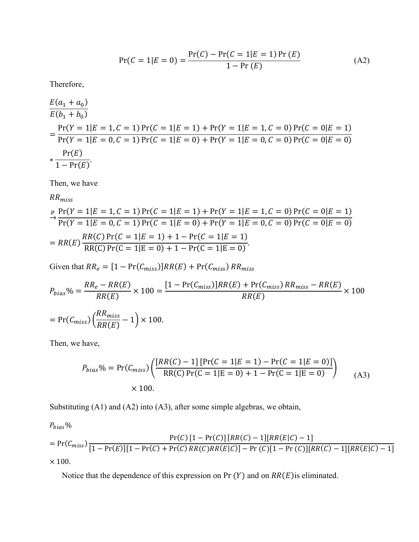$$
Pr(C = 1|E = 0) = \frac{Pr(C) - Pr(C = 1|E = 1)Pr(E)}{1 - Pr(E)}
$$
(A2)

Therefore,

$$
\frac{E(a_1 + a_0)}{E(b_1 + b_0)}
$$
\n
$$
= \frac{\Pr(Y = 1 | E = 1, C = 1) \Pr(C = 1 | E = 1) + \Pr(Y = 1 | E = 1, C = 0) \Pr(C = 0 | E = 1)}{\Pr(Y = 1 | E = 0, C = 1) \Pr(C = 1 | E = 0) + \Pr(Y = 1 | E = 0, C = 0) \Pr(C = 0 | E = 0)}
$$
\n
$$
* \frac{\Pr(E)}{1 - \Pr(E)}
$$

Then, we have

 $RR_{miss}$ 

$$
\frac{p}{\Pr(Y=1|E=1, C=1)\Pr(C=1|E=1) + \Pr(Y=1|E=1, C=0)\Pr(C=0|E=1)}{\Pr(Y=1|E=0, C=1)\Pr(C=1|E=0) + \Pr(Y=1|E=0, C=0)\Pr(C=0|E=0)} = RR(E)\frac{RR(C)\Pr(C=1|E=1) + 1 - \Pr(C=1|E=1)}{RR(C)\Pr(C=1|E=0) + 1 - \Pr(C=1|E=0)}.
$$

Given that  $RR_e = [1 - Pr(C_{miss})]RR(E) + Pr(C_{miss})RR_{miss}$ 

$$
P_{bias}\% = \frac{RR_e - RR(E)}{RR(E)} \times 100 = \frac{[1 - \Pr(C_{miss})]RR(E) + \Pr(C_{miss})RR_{miss} - RR(E)}{RR(E)} \times 100
$$

$$
= \Pr(C_{miss})\left(\frac{RR_{miss}}{RR(E)} - 1\right) \times 100.
$$

Then, we have,

$$
P_{bias}\% = \Pr(C_{miss}) \left( \frac{[RR(C) - 1][Pr(C = 1|E = 1) - Pr(C = 1|E = 0)]}{RR(C)Pr(C = 1|E = 0) + 1 - Pr(C = 1|E = 0)} \right)
$$
\n
$$
\times 100. \tag{A3}
$$

Substituting (A1) and (A2) into (A3), after some simple algebras, we obtain,

$$
P_{bias}\%
$$
  
= Pr(C<sub>miss</sub>) 
$$
\frac{\Pr(C) [1 - \Pr(C)] [RR(C) - 1][RR(E|C) - 1]}{[1 - \Pr(E)][1 - \Pr(C) + \Pr(C)RR(C)RR(E|C)] - \Pr(C)[1 - \Pr(C)][RR(C) - 1][RR(E|C) - 1]}
$$
  
× 100.

Notice that the dependence of this expression on Pr  $(Y)$  and on  $RR(E)$  is eliminated.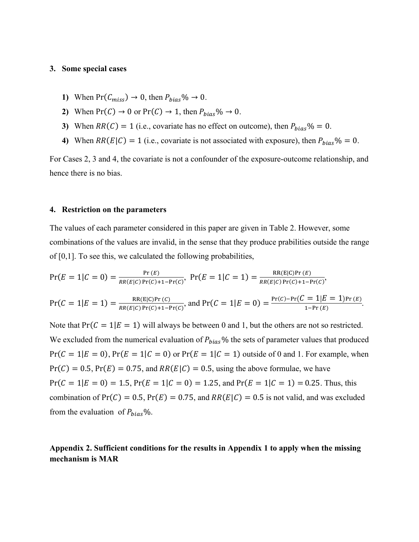### **3. Some special cases**

- **1)** When  $Pr(C_{miss}) \rightarrow 0$ , then  $P_{bias} \% \rightarrow 0$ .
- **2)** When  $Pr(C) \rightarrow 0$  or  $Pr(C) \rightarrow 1$ , then  $P_{bias} \% \rightarrow 0$ .
- **3)** When  $RR(C) = 1$  (i.e., covariate has no effect on outcome), then  $P_{bias}\% = 0$ .
- **4)** When  $RR(E|C) = 1$  (i.e., covariate is not associated with exposure), then  $P_{bias}\% = 0$ .

For Cases 2, 3 and 4, the covariate is not a confounder of the exposure-outcome relationship, and hence there is no bias.

### **4. Restriction on the parameters**

The values of each parameter considered in this paper are given in Table 2. However, some combinations of the values are invalid, in the sense that they produce prabilities outside the range of [0,1]. To see this, we calculated the following probabilities,

$$
\Pr(E = 1|C = 0) = \frac{\Pr(E)}{RR(E|C)\Pr(C) + 1 - \Pr(C)}, \Pr(E = 1|C = 1) = \frac{RR(E|C)\Pr(E)}{RR(E|C)\Pr(C) + 1 - \Pr(C)},
$$
\n
$$
\Pr(C = 1|E = 1) = \frac{RR(E|C)\Pr(C)}{RR(E|C)\Pr(C) + 1 - \Pr(C)}, \text{ and } \Pr(C = 1|E = 0) = \frac{\Pr(C) - \Pr(C = 1|E = 1)\Pr(E)}{1 - \Pr(E)}
$$

Note that  $Pr(C = 1 | E = 1)$  will always be between 0 and 1, but the others are not so restricted. We excluded from the numerical evaluation of  $P_{bias}$ % the sets of parameter values that produced  $Pr(C = 1|E = 0)$ ,  $Pr(E = 1|C = 0)$  or  $Pr(E = 1|C = 1)$  outside of 0 and 1. For example, when  $Pr(C) = 0.5$ ,  $Pr(E) = 0.75$ , and  $RR(E|C) = 0.5$ , using the above formulae, we have  $Pr(C = 1|E = 0) = 1.5$ ,  $Pr(E = 1|C = 0) = 1.25$ , and  $Pr(E = 1|C = 1) = 0.25$ . Thus, this combination of  $Pr(C) = 0.5$ ,  $Pr(E) = 0.75$ , and  $RR(E|C) = 0.5$  is not valid, and was excluded from the evaluation of  $P_{bias}\%$ .

# **Appendix 2. Sufficient conditions for the results in Appendix 1 to apply when the missing mechanism is MAR**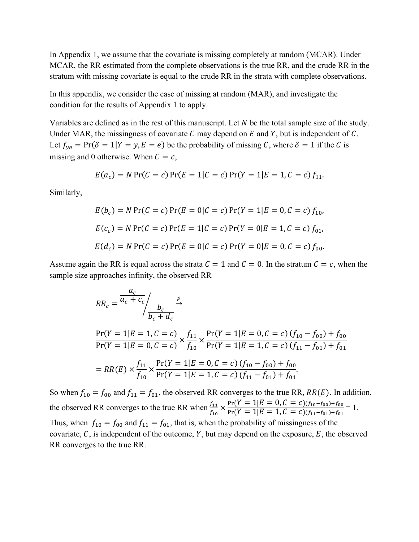In Appendix 1, we assume that the covariate is missing completely at random (MCAR). Under MCAR, the RR estimated from the complete observations is the true RR, and the crude RR in the stratum with missing covariate is equal to the crude RR in the strata with complete observations.

In this appendix, we consider the case of missing at random (MAR), and investigate the condition for the results of Appendix 1 to apply.

Variables are defined as in the rest of this manuscript. Let  $N$  be the total sample size of the study. Under MAR, the missingness of covariate  $C$  may depend on  $E$  and  $Y$ , but is independent of  $C$ . Let  $f_{ye} = Pr(\delta = 1 | Y = y, E = e)$  be the probability of missing C, where  $\delta = 1$  if the C is missing and 0 otherwise. When  $C = c$ ,

$$
E(a_c) = N \Pr(C = c) \Pr(E = 1 | C = c) \Pr(Y = 1 | E = 1, C = c) f_{11}.
$$

Similarly,

$$
E(b_c) = N \Pr(C = c) \Pr(E = 0|C = c) \Pr(Y = 1|E = 0, C = c) f_{10},
$$
  
\n
$$
E(c_c) = N \Pr(C = c) \Pr(E = 1|C = c) \Pr(Y = 0|E = 1, C = c) f_{01},
$$
  
\n
$$
E(d_c) = N \Pr(C = c) \Pr(E = 0|C = c) \Pr(Y = 0|E = 0, C = c) f_{00}.
$$

Assume again the RR is equal across the strata  $C = 1$  and  $C = 0$ . In the stratum  $C = c$ , when the sample size approaches infinity, the observed RR

$$
RR_c = \frac{a_c}{a_c + c_c} / \frac{b_c}{b_c + d_c}
$$

 $\Pr(Y = 1|E = 1, C = c)$ <br>  $\Pr(Y = 1|E = 0, C = c) \times \frac{f_{11}}{f_{10}} \times \frac{\Pr(Y = 1|E = 0, C = c) (f_{10} - f_{00}) + f_{00}}{\Pr(Y = 1|E = 1, C = c) (f_{11} - f_{01}) + f_{01}}$  $Pr(Y = 1 | E = 1, C = c) (f_{11} - f_{01}) + f_{01}$  $= RR(E) \times \frac{f_{11}}{c}$  $\frac{f_{11}}{f_{10}} \times \frac{\Pr(Y=1|E=0, C=c) (f_{10}-f_{00}) + f_{00}}{\Pr(Y=1|E=1, C=c) (f_{11}-f_{01}) + f_{01}}$  $Pr(Y = 1 | E = 1, C = c) (f_{11} - f_{01}) + f_{01}$ 

So when 
$$
f_{10} = f_{00}
$$
 and  $f_{11} = f_{01}$ , the observed RR converges to the true RR, RR(E). In addition,  
the observed RR converges to the true RR when  $\frac{f_{11}}{f_{10}} \times \frac{\Pr(Y = 1 | E = 0, C = c)(f_{10} - f_{00}) + f_{00}}{\Pr(Y = 1 | E = 1, C = c)(f_{11} - f_{01}) + f_{01}} = 1$ .  
Thus, when  $f_{10} = f_{00}$  and  $f_{11} = f_{01}$ , that is, when the probability of missigngress of the  
covariate, C, is independent of the outcome, Y, but may depend on the exposure, E, the observed  
RR converges to the true RR.

$$
R_c = \frac{a_c + c_c}{b_c + d_c}
$$
  
or 
$$
(Y = 1|E = 1, C = c)
$$

$$
\frac{F_1(Y = 1|E = 0, C = c)}{F_1(Y = 1|E = 0, C = c)} \times \frac{f_{11}}{F_2(Y = 1|E = 0, C = c)}
$$